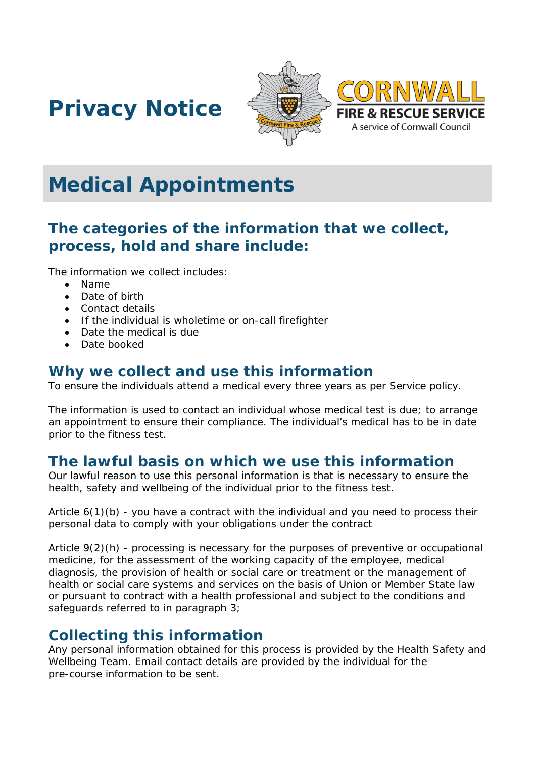





# **Medical Appointments**

# **The categories of the information that we collect, process, hold and share include:**

The information we collect includes:

- Name
- Date of birth
- Contact details
- If the individual is wholetime or on-call firefighter
- Date the medical is due
- Date booked

#### **Why we collect and use this information**

To ensure the individuals attend a medical every three years as per Service policy.

The information is used to contact an individual whose medical test is due; to arrange an appointment to ensure their compliance. The individual's medical has to be in date prior to the fitness test.

#### **The lawful basis on which we use this information**

Our lawful reason to use this personal information is that is necessary to ensure the health, safety and wellbeing of the individual prior to the fitness test.

Article 6(1)(b) - you have a contract with the individual and you need to process their personal data to comply with your obligations under the contract

Article 9(2)(h) - processing is necessary for the purposes of preventive or occupational medicine, for the assessment of the working capacity of the employee, medical diagnosis, the provision of health or social care or treatment or the management of health or social care systems and services on the basis of Union or Member State law or pursuant to contract with a health professional and subject to the conditions and safeguards referred to in paragraph 3;

#### **Collecting this information**

Any personal information obtained for this process is provided by the Health Safety and Wellbeing Team. Email contact details are provided by the individual for the pre-course information to be sent.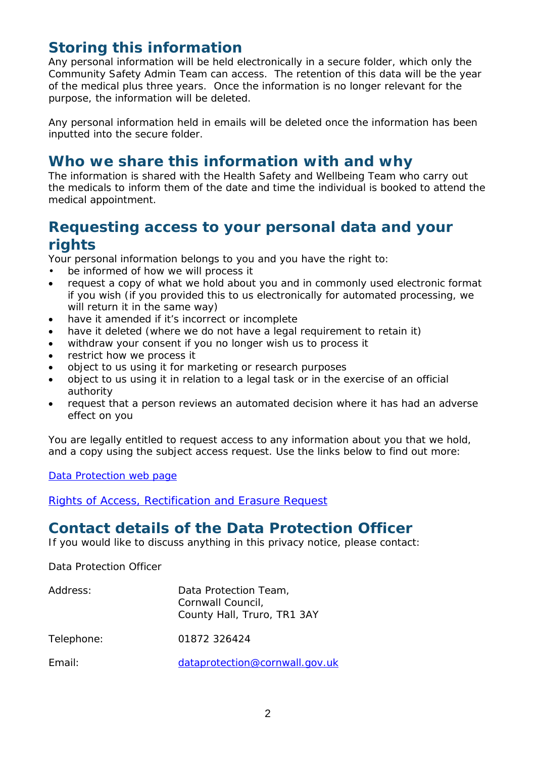## **Storing this information**

Any personal information will be held electronically in a secure folder, which only the Community Safety Admin Team can access. The retention of this data will be the year of the medical plus three years. Once the information is no longer relevant for the purpose, the information will be deleted.

Any personal information held in emails will be deleted once the information has been inputted into the secure folder.

#### **Who we share this information with and why**

The information is shared with the Health Safety and Wellbeing Team who carry out the medicals to inform them of the date and time the individual is booked to attend the medical appointment.

# **Requesting access to your personal data and your rights**

Your personal information belongs to you and you have the right to:

- be informed of how we will process it
- request a copy of what we hold about you and in commonly used electronic format if you wish (if you provided this to us electronically for automated processing, we will return it in the same way)
- have it amended if it's incorrect or incomplete
- have it deleted (where we do not have a legal requirement to retain it)
- withdraw your consent if you no longer wish us to process it
- restrict how we process it
- object to us using it for marketing or research purposes
- object to us using it in relation to a legal task or in the exercise of an official authority
- request that a person reviews an automated decision where it has had an adverse effect on you

You are legally entitled to request access to any information about you that we hold, and a copy using the subject access request. Use the links below to find out more:

[Data Protection web page](http://www.cornwall.gov.uk/council-and-democracy/data-protection-and-freedom-of-information/data-protection)

[Rights of Access, Rectification and Erasure Request](https://www.cornwall.gov.uk/media/33315555/form-2018-rare-form-blank.pdf)

# **Contact details of the Data Protection Officer**

If you would like to discuss anything in this privacy notice, please contact:

Data Protection Officer

| Address:   | Data Protection Team,<br>Cornwall Council,<br>County Hall, Truro, TR1 3AY |
|------------|---------------------------------------------------------------------------|
| Telephone: | 01872 326424                                                              |
| Fmail:     | dataprotection@cornwall.gov.uk                                            |